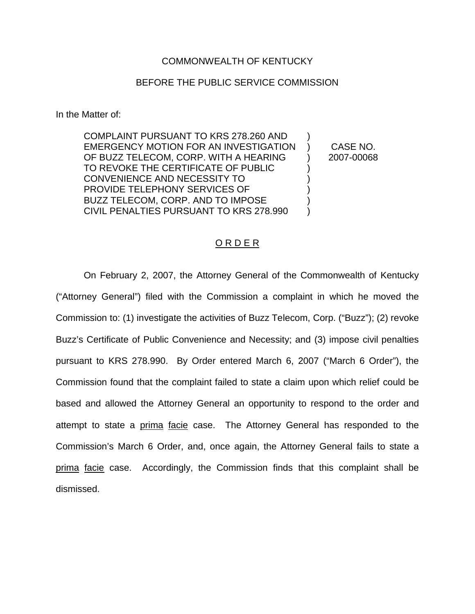## COMMONWEALTH OF KENTUCKY

# BEFORE THE PUBLIC SERVICE COMMISSION

In the Matter of:

COMPLAINT PURSUANT TO KRS 278.260 AND ) EMERGENCY MOTION FOR AN INVESTIGATION ) CASE NO. OF BUZZ TELECOM, CORP. WITH A HEARING (2007-00068) TO REVOKE THE CERTIFICATE OF PUBLIC ) CONVENIENCE AND NECESSITY TO  $(3)$ PROVIDE TELEPHONY SERVICES OF ) BUZZ TELECOM, CORP. AND TO IMPOSE CIVIL PENALTIES PURSUANT TO KRS 278.990 )

### O R D E R

On February 2, 2007, the Attorney General of the Commonwealth of Kentucky ("Attorney General") filed with the Commission a complaint in which he moved the Commission to: (1) investigate the activities of Buzz Telecom, Corp. ("Buzz"); (2) revoke Buzz's Certificate of Public Convenience and Necessity; and (3) impose civil penalties pursuant to KRS 278.990. By Order entered March 6, 2007 ("March 6 Order"), the Commission found that the complaint failed to state a claim upon which relief could be based and allowed the Attorney General an opportunity to respond to the order and attempt to state a prima facie case. The Attorney General has responded to the Commission's March 6 Order, and, once again, the Attorney General fails to state a prima facie case. Accordingly, the Commission finds that this complaint shall be dismissed.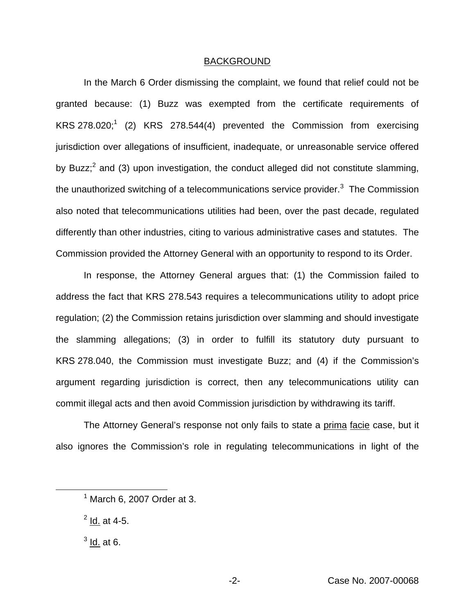#### BACKGROUND

In the March 6 Order dismissing the complaint, we found that relief could not be granted because: (1) Buzz was exempted from the certificate requirements of KRS 278.020;<sup>1</sup> (2) KRS 278.544(4) prevented the Commission from exercising jurisdiction over allegations of insufficient, inadequate, or unreasonable service offered by Buzz; $^2$  and (3) upon investigation, the conduct alleged did not constitute slamming, the unauthorized switching of a telecommunications service provider. $3$  The Commission also noted that telecommunications utilities had been, over the past decade, regulated differently than other industries, citing to various administrative cases and statutes. The Commission provided the Attorney General with an opportunity to respond to its Order.

In response, the Attorney General argues that: (1) the Commission failed to address the fact that KRS 278.543 requires a telecommunications utility to adopt price regulation; (2) the Commission retains jurisdiction over slamming and should investigate the slamming allegations; (3) in order to fulfill its statutory duty pursuant to KRS 278.040, the Commission must investigate Buzz; and (4) if the Commission's argument regarding jurisdiction is correct, then any telecommunications utility can commit illegal acts and then avoid Commission jurisdiction by withdrawing its tariff.

The Attorney General's response not only fails to state a prima facie case, but it also ignores the Commission's role in regulating telecommunications in light of the

 $2$  Id. at 4-5.

 $<sup>3</sup>$  Id. at 6.</sup>

 $<sup>1</sup>$  March 6, 2007 Order at 3.</sup>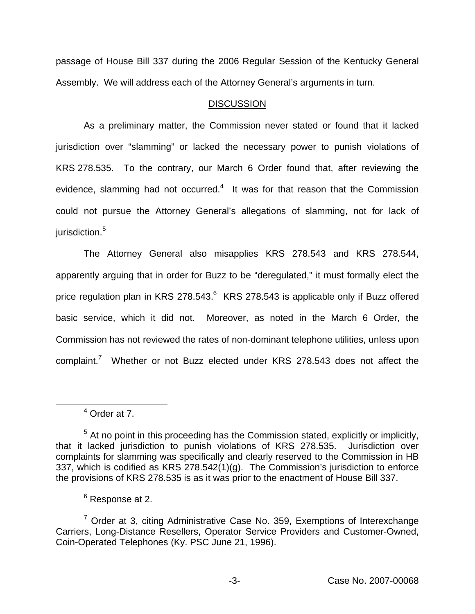passage of House Bill 337 during the 2006 Regular Session of the Kentucky General Assembly. We will address each of the Attorney General's arguments in turn.

# **DISCUSSION**

As a preliminary matter, the Commission never stated or found that it lacked jurisdiction over "slamming" or lacked the necessary power to punish violations of KRS 278.535. To the contrary, our March 6 Order found that, after reviewing the evidence, slamming had not occurred.<sup>4</sup> It was for that reason that the Commission could not pursue the Attorney General's allegations of slamming, not for lack of jurisdiction.<sup>5</sup>

The Attorney General also misapplies KRS 278.543 and KRS 278.544, apparently arguing that in order for Buzz to be "deregulated," it must formally elect the price regulation plan in KRS 278.543.<sup>6</sup> KRS 278.543 is applicable only if Buzz offered basic service, which it did not. Moreover, as noted in the March 6 Order, the Commission has not reviewed the rates of non-dominant telephone utilities, unless upon complaint.<sup>7</sup> Whether or not Buzz elected under KRS 278.543 does not affect the

<sup>4</sup> Order at 7.

 $<sup>5</sup>$  At no point in this proceeding has the Commission stated, explicitly or implicitly,</sup> that it lacked jurisdiction to punish violations of KRS 278.535. Jurisdiction over complaints for slamming was specifically and clearly reserved to the Commission in HB 337, which is codified as KRS 278.542(1)(g). The Commission's jurisdiction to enforce the provisions of KRS 278.535 is as it was prior to the enactment of House Bill 337.

<sup>6</sup> Response at 2.

 $7$  Order at 3, citing Administrative Case No. 359, Exemptions of Interexchange Carriers, Long-Distance Resellers, Operator Service Providers and Customer-Owned, Coin-Operated Telephones (Ky. PSC June 21, 1996).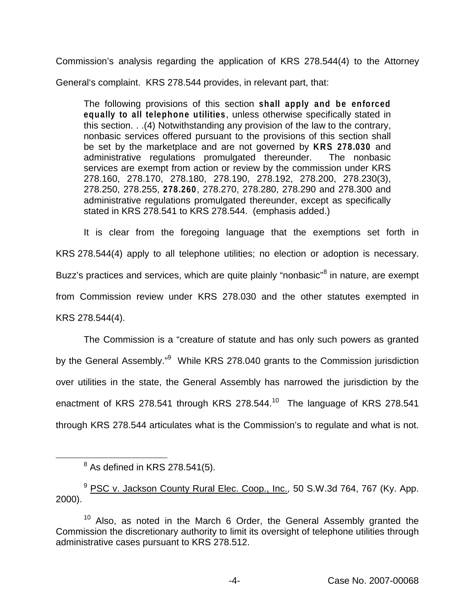Commission's analysis regarding the application of KRS 278.544(4) to the Attorney

General's complaint. KRS 278.544 provides, in relevant part, that:

The following provisions of this section **shall apply and be enforced equally to all telephone utilities**, unless otherwise specifically stated in this section. . .(4) Notwithstanding any provision of the law to the contrary, nonbasic services offered pursuant to the provisions of this section shall be set by the marketplace and are not governed by **KRS 278.030** and administrative regulations promulgated thereunder. The nonbasic services are exempt from action or review by the commission under KRS 278.160, 278.170, 278.180, 278.190, 278.192, 278.200, 278.230(3), 278.250, 278.255, **278.260**, 278.270, 278.280, 278.290 and 278.300 and administrative regulations promulgated thereunder, except as specifically stated in KRS 278.541 to KRS 278.544. (emphasis added.)

It is clear from the foregoing language that the exemptions set forth in KRS 278.544(4) apply to all telephone utilities; no election or adoption is necessary. Buzz's practices and services, which are quite plainly "nonbasic"<sup>8</sup> in nature, are exempt from Commission review under KRS 278.030 and the other statutes exempted in KRS 278.544(4).

The Commission is a "creature of statute and has only such powers as granted by the General Assembly."<sup>9</sup> While KRS 278.040 grants to the Commission jurisdiction over utilities in the state, the General Assembly has narrowed the jurisdiction by the enactment of KRS 278.541 through KRS 278.544.<sup>10</sup> The language of KRS 278.541 through KRS 278.544 articulates what is the Commission's to regulate and what is not.

<sup>9</sup> PSC v. Jackson County Rural Elec. Coop., Inc.*,* 50 S.W.3d 764, 767 (Ky. App. 2000).

 $8$  As defined in KRS 278.541(5).

 $10$  Also, as noted in the March 6 Order, the General Assembly granted the Commission the discretionary authority to limit its oversight of telephone utilities through administrative cases pursuant to KRS 278.512.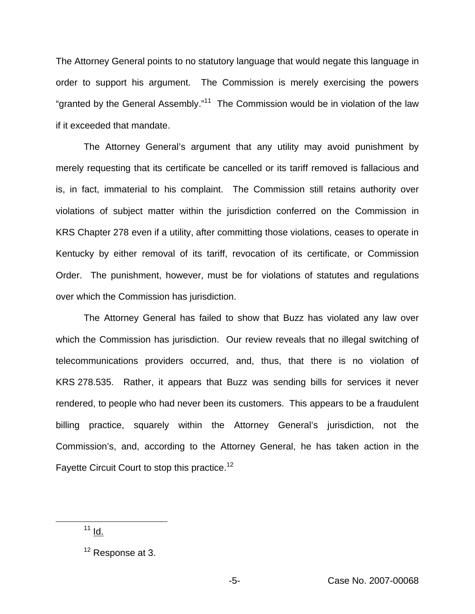The Attorney General points to no statutory language that would negate this language in order to support his argument. The Commission is merely exercising the powers "granted by the General Assembly."<sup>11</sup> The Commission would be in violation of the law if it exceeded that mandate.

The Attorney General's argument that any utility may avoid punishment by merely requesting that its certificate be cancelled or its tariff removed is fallacious and is, in fact, immaterial to his complaint. The Commission still retains authority over violations of subject matter within the jurisdiction conferred on the Commission in KRS Chapter 278 even if a utility, after committing those violations, ceases to operate in Kentucky by either removal of its tariff, revocation of its certificate, or Commission Order. The punishment, however, must be for violations of statutes and regulations over which the Commission has jurisdiction.

The Attorney General has failed to show that Buzz has violated any law over which the Commission has jurisdiction. Our review reveals that no illegal switching of telecommunications providers occurred, and, thus, that there is no violation of KRS 278.535. Rather, it appears that Buzz was sending bills for services it never rendered, to people who had never been its customers. This appears to be a fraudulent billing practice, squarely within the Attorney General's jurisdiction, not the Commission's, and, according to the Attorney General, he has taken action in the Fayette Circuit Court to stop this practice.<sup>12</sup>

 $11$  <u>Id.</u>

<sup>&</sup>lt;sup>12</sup> Response at 3.